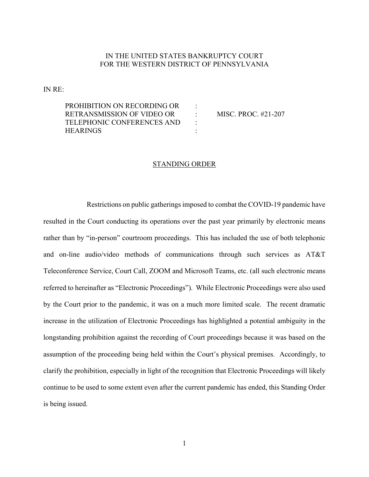## IN THE UNITED STATES BANKRUPTCY COURT FOR THE WESTERN DISTRICT OF PENNSYLVANIA

IN RE:

PROHIBITION ON RECORDING OR : RETRANSMISSION OF VIDEO OR : MISC. PROC. #21-207 TELEPHONIC CONFERENCES AND : HEARINGS :

## STANDING ORDER

Restrictions on public gatherings imposed to combat the COVID-19 pandemic have resulted in the Court conducting its operations over the past year primarily by electronic means rather than by "in-person" courtroom proceedings. This has included the use of both telephonic and on-line audio/video methods of communications through such services as AT&T Teleconference Service, Court Call, ZOOM and Microsoft Teams, etc. (all such electronic means referred to hereinafter as "Electronic Proceedings"). While Electronic Proceedings were also used by the Court prior to the pandemic, it was on a much more limited scale. The recent dramatic increase in the utilization of Electronic Proceedings has highlighted a potential ambiguity in the longstanding prohibition against the recording of Court proceedings because it was based on the assumption of the proceeding being held within the Court's physical premises. Accordingly, to clarify the prohibition, especially in light of the recognition that Electronic Proceedings will likely continue to be used to some extent even after the current pandemic has ended, this Standing Order is being issued.